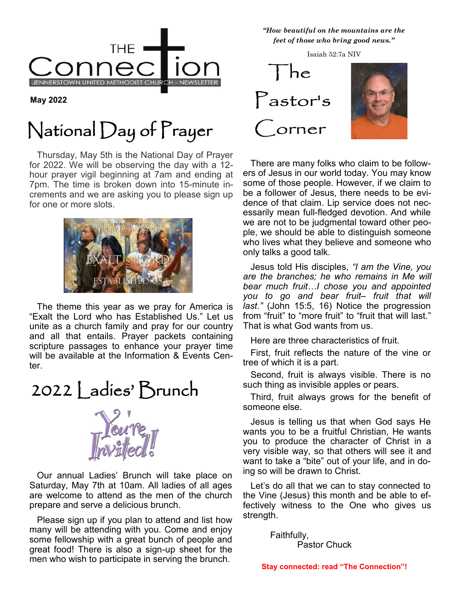

**May 2022**

## National Day of Prayer

 Thursday, May 5th is the National Day of Prayer for 2022. We will be observing the day with a 12 hour prayer vigil beginning at 7am and ending at 7pm. The time is broken down into 15-minute increments and we are asking you to please sign up for one or more slots.



 The theme this year as we pray for America is "Exalt the Lord who has Established Us." Let us unite as a church family and pray for our country and all that entails. Prayer packets containing scripture passages to enhance your prayer time will be available at the Information & Events Center.

2022 | adies' Brunch



 Our annual Ladies' Brunch will take place on Saturday, May 7th at 10am. All ladies of all ages are welcome to attend as the men of the church prepare and serve a delicious brunch.

 Please sign up if you plan to attend and list how many will be attending with you. Come and enjoy some fellowship with a great bunch of people and great food! There is also a sign-up sheet for the men who wish to participate in serving the brunch.

<sup>Y</sup>*"How beautiful on the mountains are the feet of those who bring good news."*

Isaiah 52:7a NIV



 There are many folks who claim to be followers of Jesus in our world today. You may know some of those people. However, if we claim to be a follower of Jesus, there needs to be evidence of that claim. Lip service does not necessarily mean full-fledged devotion. And while we are not to be judgmental toward other people, we should be able to distinguish someone who lives what they believe and someone who only talks a good talk.

 Jesus told His disciples, *"I am the Vine, you are the branches; he who remains in Me will bear much fruit…I chose you and appointed you to go and bear fruit– fruit that will last."* (John 15:5, 16) Notice the progression from "fruit" to "more fruit" to "fruit that will last." That is what God wants from us.

Here are three characteristics of fruit.

 First, fruit reflects the nature of the vine or tree of which it is a part.

 Second, fruit is always visible. There is no such thing as invisible apples or pears.

 Third, fruit always grows for the benefit of someone else.

 Jesus is telling us that when God says He wants you to be a fruitful Christian, He wants you to produce the character of Christ in a very visible way, so that others will see it and want to take a "bite" out of your life, and in doing so will be drawn to Christ.

 Let's do all that we can to stay connected to the Vine (Jesus) this month and be able to effectively witness to the One who gives us strength.

> Faithfully, Pastor Chuck

**Stay connected: read "The Connection"!**